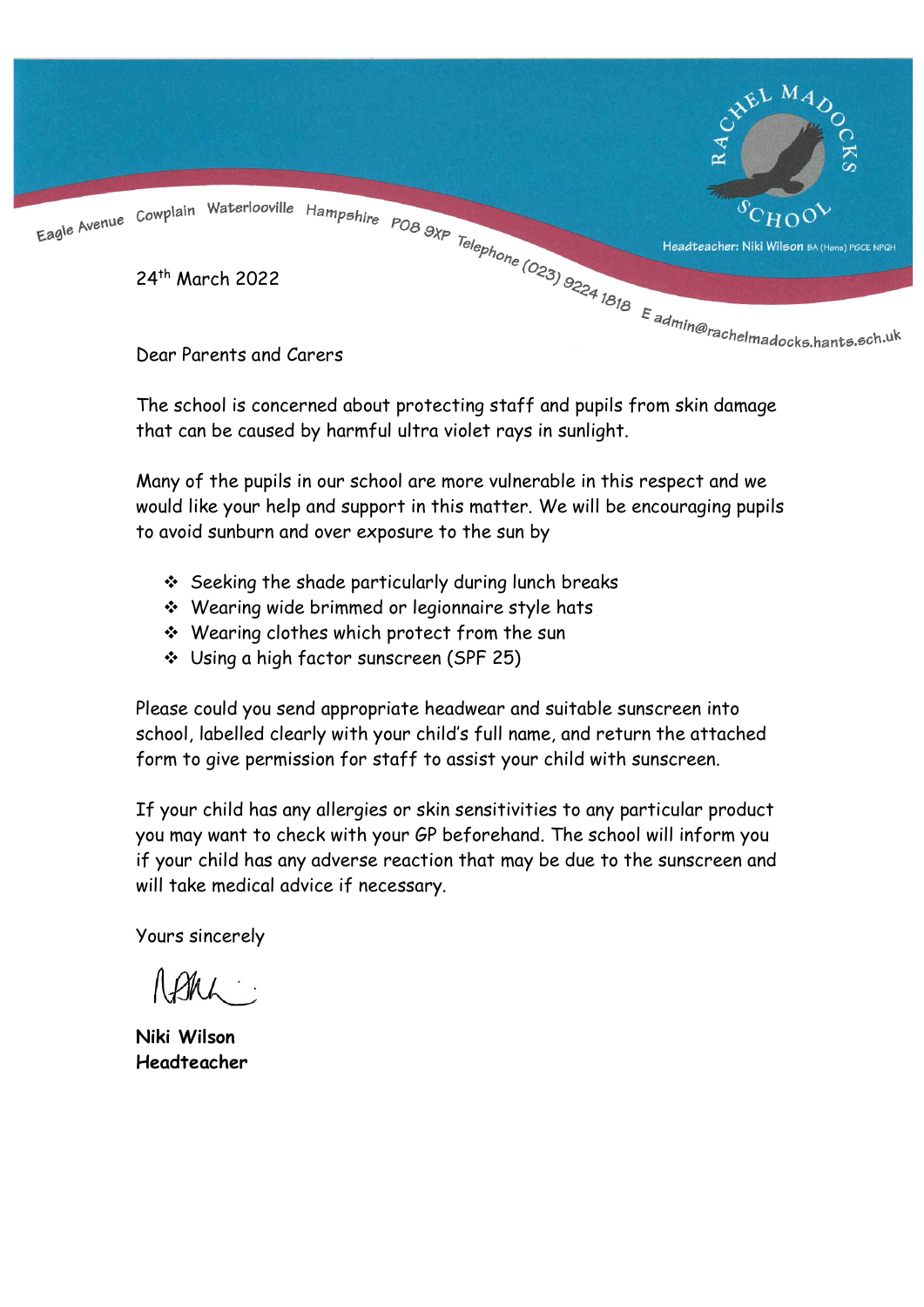

The school is concerned about protecting staff and pupils from skin damage that can be caused by harmful ultra violet rays in sunlight.

Many of the pupils in our school are more vulnerable in this respect and we would like your help and support in this matter. We will be encouraging pupils to avoid sunburn and over exposure to the sun by

- $\div$  Seeking the shade particularly during lunch breaks
- Wearing wide brimmed or legionnaire style hats
- Wearing clothes which protect from the sun
- Using a high factor sunscreen (SPF 25)

Please could you send appropriate headwear and suitable sunscreen into school, labelled clearly with your child's full name, and return the attached form to give permission for staff to assist your child with sunscreen.

If your child has any allergies or skin sensitivities to any particular product you may want to check with your GP beforehand. The school will inform you if your child has any adverse reaction that may be due to the sunscreen and will take medical advice if necessary.

Yours sincerely

Niki Wilson Headteacher